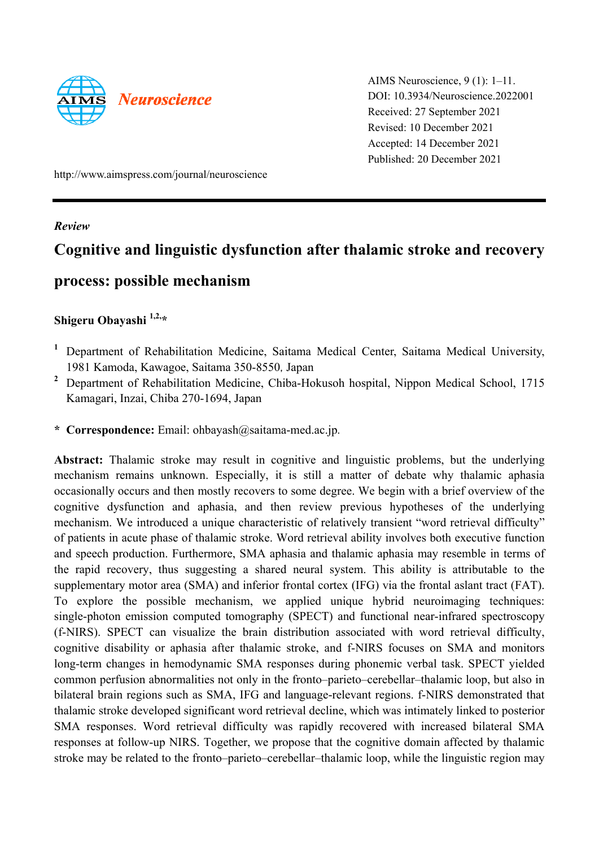

AIMS Neuroscience, 9 (1): 1–11. DOI: 10.3934/Neuroscience.2022001 Received: 27 September 2021 Revised: 10 December 2021 Accepted: 14 December 2021 Published: 20 December 2021

http://www.aimspress.com/journal/neuroscience

### *Review*

# **Cognitive and linguistic dysfunction after thalamic stroke and recovery**

## **process: possible mechanism**

### **Shigeru Obayashi 1,2,\***

- <sup>1</sup> Department of Rehabilitation Medicine, Saitama Medical Center, Saitama Medical University, 1981 Kamoda, Kawagoe, Saitama 350-8550, Japan
- <sup>2</sup> Department of Rehabilitation Medicine, Chiba-Hokusoh hospital, Nippon Medical School, 1715 Kamagari, Inzai, Chiba 270-1694, Japan
- **\* Correspondence:** Email: ohbayash@saitama-med.ac.jp.

**Abstract:** Thalamic stroke may result in cognitive and linguistic problems, but the underlying mechanism remains unknown. Especially, it is still a matter of debate why thalamic aphasia occasionally occurs and then mostly recovers to some degree. We begin with a brief overview of the cognitive dysfunction and aphasia, and then review previous hypotheses of the underlying mechanism. We introduced a unique characteristic of relatively transient "word retrieval difficulty" of patients in acute phase of thalamic stroke. Word retrieval ability involves both executive function and speech production. Furthermore, SMA aphasia and thalamic aphasia may resemble in terms of the rapid recovery, thus suggesting a shared neural system. This ability is attributable to the supplementary motor area (SMA) and inferior frontal cortex (IFG) via the frontal aslant tract (FAT). To explore the possible mechanism, we applied unique hybrid neuroimaging techniques: single-photon emission computed tomography (SPECT) and functional near-infrared spectroscopy (f-NIRS). SPECT can visualize the brain distribution associated with word retrieval difficulty, cognitive disability or aphasia after thalamic stroke, and f-NIRS focuses on SMA and monitors long-term changes in hemodynamic SMA responses during phonemic verbal task. SPECT yielded common perfusion abnormalities not only in the fronto–parieto–cerebellar–thalamic loop, but also in bilateral brain regions such as SMA, IFG and language-relevant regions. f-NIRS demonstrated that thalamic stroke developed significant word retrieval decline, which was intimately linked to posterior SMA responses. Word retrieval difficulty was rapidly recovered with increased bilateral SMA responses at follow-up NIRS. Together, we propose that the cognitive domain affected by thalamic stroke may be related to the fronto–parieto–cerebellar–thalamic loop, while the linguistic region may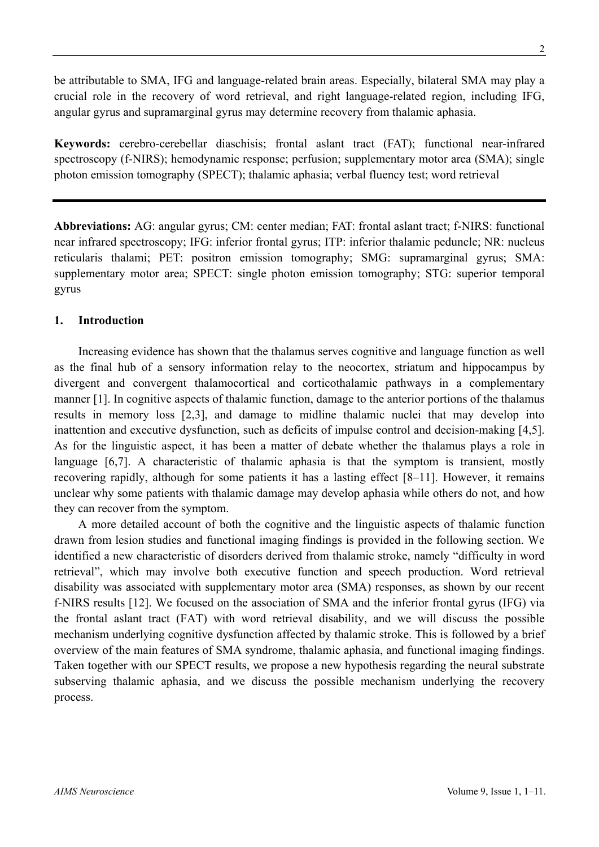be attributable to SMA, IFG and language-related brain areas. Especially, bilateral SMA may play a crucial role in the recovery of word retrieval, and right language-related region, including IFG, angular gyrus and supramarginal gyrus may determine recovery from thalamic aphasia.

**Keywords:** cerebro-cerebellar diaschisis; frontal aslant tract (FAT); functional near-infrared spectroscopy (f-NIRS); hemodynamic response; perfusion; supplementary motor area (SMA); single photon emission tomography (SPECT); thalamic aphasia; verbal fluency test; word retrieval

**Abbreviations:** AG: angular gyrus; CM: center median; FAT: frontal aslant tract; f-NIRS: functional near infrared spectroscopy; IFG: inferior frontal gyrus; ITP: inferior thalamic peduncle; NR: nucleus reticularis thalami; PET: positron emission tomography; SMG: supramarginal gyrus; SMA: supplementary motor area; SPECT: single photon emission tomography; STG: superior temporal gyrus

### **1. Introduction**

Increasing evidence has shown that the thalamus serves cognitive and language function as well as the final hub of a sensory information relay to the neocortex, striatum and hippocampus by divergent and convergent thalamocortical and corticothalamic pathways in a complementary manner [1]. In cognitive aspects of thalamic function, damage to the anterior portions of the thalamus results in memory loss [2,3], and damage to midline thalamic nuclei that may develop into inattention and executive dysfunction, such as deficits of impulse control and decision-making [4,5]. As for the linguistic aspect, it has been a matter of debate whether the thalamus plays a role in language [6,7]. A characteristic of thalamic aphasia is that the symptom is transient, mostly recovering rapidly, although for some patients it has a lasting effect [8–11]. However, it remains unclear why some patients with thalamic damage may develop aphasia while others do not, and how they can recover from the symptom.

A more detailed account of both the cognitive and the linguistic aspects of thalamic function drawn from lesion studies and functional imaging findings is provided in the following section. We identified a new characteristic of disorders derived from thalamic stroke, namely "difficulty in word retrieval", which may involve both executive function and speech production. Word retrieval disability was associated with supplementary motor area (SMA) responses, as shown by our recent f-NIRS results [12]. We focused on the association of SMA and the inferior frontal gyrus (IFG) via the frontal aslant tract (FAT) with word retrieval disability, and we will discuss the possible mechanism underlying cognitive dysfunction affected by thalamic stroke. This is followed by a brief overview of the main features of SMA syndrome, thalamic aphasia, and functional imaging findings. Taken together with our SPECT results, we propose a new hypothesis regarding the neural substrate subserving thalamic aphasia, and we discuss the possible mechanism underlying the recovery process.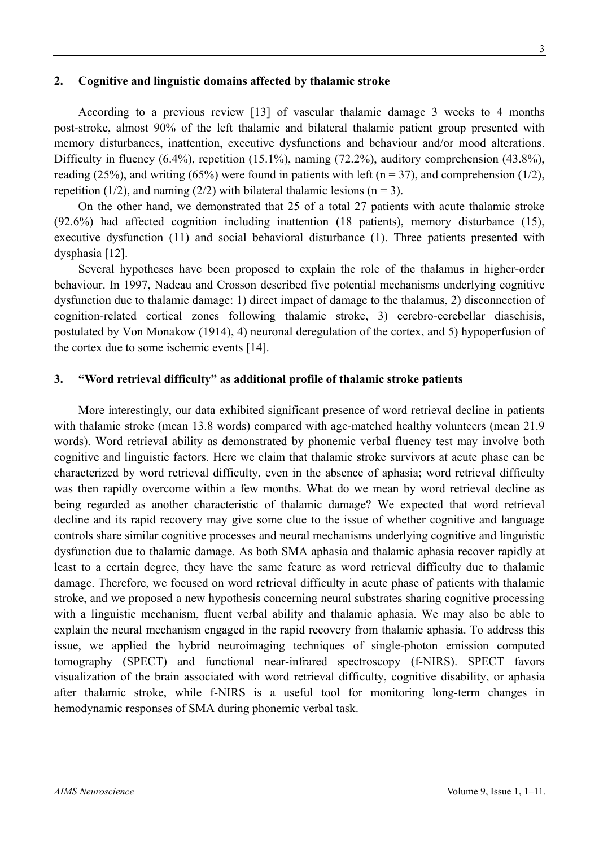### **2. Cognitive and linguistic domains affected by thalamic stroke**

According to a previous review [13] of vascular thalamic damage 3 weeks to 4 months post-stroke, almost 90% of the left thalamic and bilateral thalamic patient group presented with memory disturbances, inattention, executive dysfunctions and behaviour and/or mood alterations. Difficulty in fluency (6.4%), repetition (15.1%), naming (72.2%), auditory comprehension (43.8%), reading (25%), and writing (65%) were found in patients with left ( $n = 37$ ), and comprehension (1/2), repetition (1/2), and naming (2/2) with bilateral thalamic lesions ( $n = 3$ ).

On the other hand, we demonstrated that 25 of a total 27 patients with acute thalamic stroke (92.6%) had affected cognition including inattention (18 patients), memory disturbance (15), executive dysfunction (11) and social behavioral disturbance (1). Three patients presented with dysphasia [12].

Several hypotheses have been proposed to explain the role of the thalamus in higher-order behaviour. In 1997, Nadeau and Crosson described five potential mechanisms underlying cognitive dysfunction due to thalamic damage: 1) direct impact of damage to the thalamus, 2) disconnection of cognition-related cortical zones following thalamic stroke, 3) cerebro-cerebellar diaschisis, postulated by Von Monakow (1914), 4) neuronal deregulation of the cortex, and 5) hypoperfusion of the cortex due to some ischemic events [14].

### **3. "Word retrieval difficulty" as additional profile of thalamic stroke patients**

More interestingly, our data exhibited significant presence of word retrieval decline in patients with thalamic stroke (mean 13.8 words) compared with age-matched healthy volunteers (mean 21.9 words). Word retrieval ability as demonstrated by phonemic verbal fluency test may involve both cognitive and linguistic factors. Here we claim that thalamic stroke survivors at acute phase can be characterized by word retrieval difficulty, even in the absence of aphasia; word retrieval difficulty was then rapidly overcome within a few months. What do we mean by word retrieval decline as being regarded as another characteristic of thalamic damage? We expected that word retrieval decline and its rapid recovery may give some clue to the issue of whether cognitive and language controls share similar cognitive processes and neural mechanisms underlying cognitive and linguistic dysfunction due to thalamic damage. As both SMA aphasia and thalamic aphasia recover rapidly at least to a certain degree, they have the same feature as word retrieval difficulty due to thalamic damage. Therefore, we focused on word retrieval difficulty in acute phase of patients with thalamic stroke, and we proposed a new hypothesis concerning neural substrates sharing cognitive processing with a linguistic mechanism, fluent verbal ability and thalamic aphasia. We may also be able to explain the neural mechanism engaged in the rapid recovery from thalamic aphasia. To address this issue, we applied the hybrid neuroimaging techniques of single-photon emission computed tomography (SPECT) and functional near-infrared spectroscopy (f-NIRS). SPECT favors visualization of the brain associated with word retrieval difficulty, cognitive disability, or aphasia after thalamic stroke, while f-NIRS is a useful tool for monitoring long-term changes in hemodynamic responses of SMA during phonemic verbal task.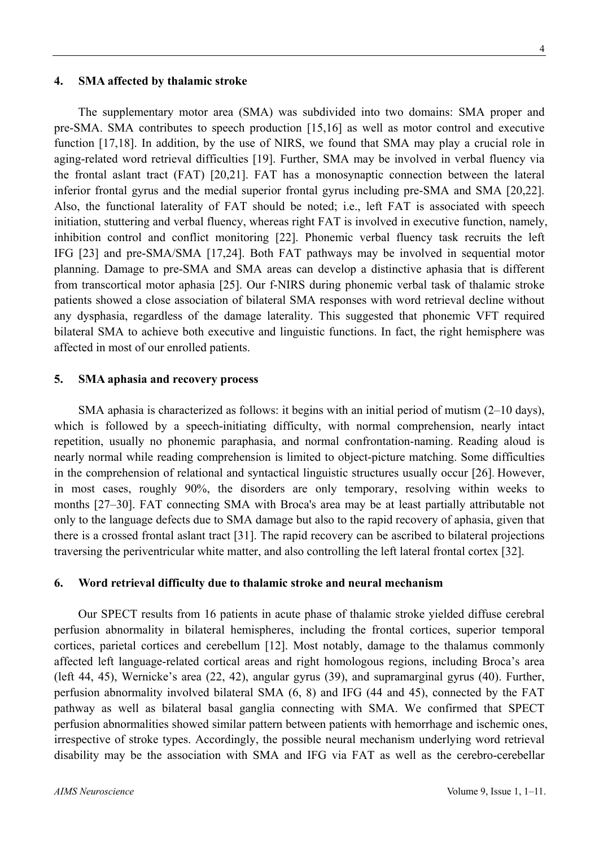perfusion abnormality in bilateral hemispheres, including the frontal cortices, superior temporal cortices, parietal cortices and cerebellum [12]. Most notably, damage to the thalamus commonly affected left language-related cortical areas and right homologous regions, including Broca's area (left 44, 45), Wernicke's area (22, 42), angular gyrus (39), and supramarginal gyrus (40). Further, perfusion abnormality involved bilateral SMA (6, 8) and IFG (44 and 45), connected by the FAT pathway as well as bilateral basal ganglia connecting with SMA. We confirmed that SPECT perfusion abnormalities showed similar pattern between patients with hemorrhage and ischemic ones, irrespective of stroke types. Accordingly, the possible neural mechanism underlying word retrieval disability may be the association with SMA and IFG via FAT as well as the cerebro-cerebellar

Our SPECT results from 16 patients in acute phase of thalamic stroke yielded diffuse cerebral

**6. Word retrieval difficulty due to thalamic stroke and neural mechanism** 

#### *AIMS Neuroscience* Volume 9, Issue 1, 1–11.

The supplementary motor area (SMA) was subdivided into two domains: SMA proper and pre-SMA. SMA contributes to speech production [15,16] as well as motor control and executive function [17,18]. In addition, by the use of NIRS, we found that SMA may play a crucial role in aging-related word retrieval difficulties [19]. Further, SMA may be involved in verbal fluency via the frontal aslant tract (FAT) [20,21]. FAT has a monosynaptic connection between the lateral inferior frontal gyrus and the medial superior frontal gyrus including pre-SMA and SMA [20,22]. Also, the functional laterality of FAT should be noted; i.e., left FAT is associated with speech initiation, stuttering and verbal fluency, whereas right FAT is involved in executive function, namely, inhibition control and conflict monitoring [22]. Phonemic verbal fluency task recruits the left IFG [23] and pre-SMA/SMA [17,24]. Both FAT pathways may be involved in sequential motor planning. Damage to pre-SMA and SMA areas can develop a distinctive aphasia that is different from transcortical motor aphasia [25]. Our f-NIRS during phonemic verbal task of thalamic stroke patients showed a close association of bilateral SMA responses with word retrieval decline without any dysphasia, regardless of the damage laterality. This suggested that phonemic VFT required bilateral SMA to achieve both executive and linguistic functions. In fact, the right hemisphere was affected in most of our enrolled patients.

SMA aphasia is characterized as follows: it begins with an initial period of mutism (2–10 days), which is followed by a speech-initiating difficulty, with normal comprehension, nearly intact repetition, usually no phonemic paraphasia, and normal confrontation-naming. Reading aloud is nearly normal while reading comprehension is limited to object-picture matching. Some difficulties in the comprehension of relational and syntactical linguistic structures usually occur [26]. However, in most cases, roughly 90%, the disorders are only temporary, resolving within weeks to months [27–30]. FAT connecting SMA with Broca's area may be at least partially attributable not only to the language defects due to SMA damage but also to the rapid recovery of aphasia, given that there is a crossed frontal aslant tract [31]. The rapid recovery can be ascribed to bilateral projections traversing the periventricular white matter, and also controlling the left lateral frontal cortex [32].

### **4. SMA affected by thalamic stroke**

**5. SMA aphasia and recovery process**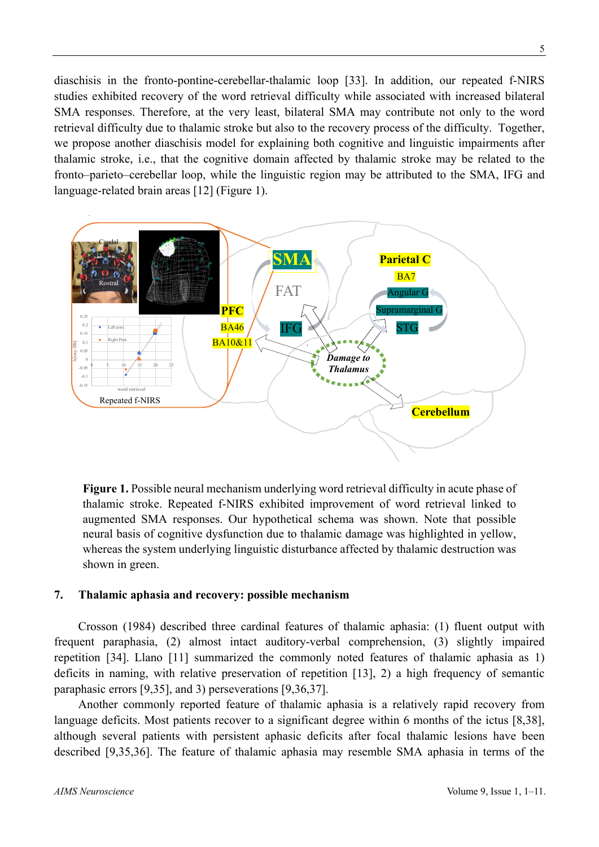diaschisis in the fronto-pontine-cerebellar-thalamic loop [33]. In addition, our repeated f-NIRS studies exhibited recovery of the word retrieval difficulty while associated with increased bilateral SMA responses. Therefore, at the very least, bilateral SMA may contribute not only to the word retrieval difficulty due to thalamic stroke but also to the recovery process of the difficulty. Together, we propose another diaschisis model for explaining both cognitive and linguistic impairments after thalamic stroke, i.e., that the cognitive domain affected by thalamic stroke may be related to the fronto–parieto–cerebellar loop, while the linguistic region may be attributed to the SMA, IFG and language-related brain areas [12] (Figure 1).



**Figure 1.** Possible neural mechanism underlying word retrieval difficulty in acute phase of thalamic stroke. Repeated f-NIRS exhibited improvement of word retrieval linked to augmented SMA responses. Our hypothetical schema was shown. Note that possible neural basis of cognitive dysfunction due to thalamic damage was highlighted in yellow, whereas the system underlying linguistic disturbance affected by thalamic destruction was shown in green.

### **7. Thalamic aphasia and recovery: possible mechanism**

Crosson (1984) described three cardinal features of thalamic aphasia: (1) fluent output with frequent paraphasia, (2) almost intact auditory-verbal comprehension, (3) slightly impaired repetition [34]. Llano [11] summarized the commonly noted features of thalamic aphasia as 1) deficits in naming, with relative preservation of repetition [13], 2) a high frequency of semantic paraphasic errors [9,35], and 3) perseverations [9,36,37].

Another commonly reported feature of thalamic aphasia is a relatively rapid recovery from language deficits. Most patients recover to a significant degree within 6 months of the ictus [8,38], although several patients with persistent aphasic deficits after focal thalamic lesions have been described [9,35,36]. The feature of thalamic aphasia may resemble SMA aphasia in terms of the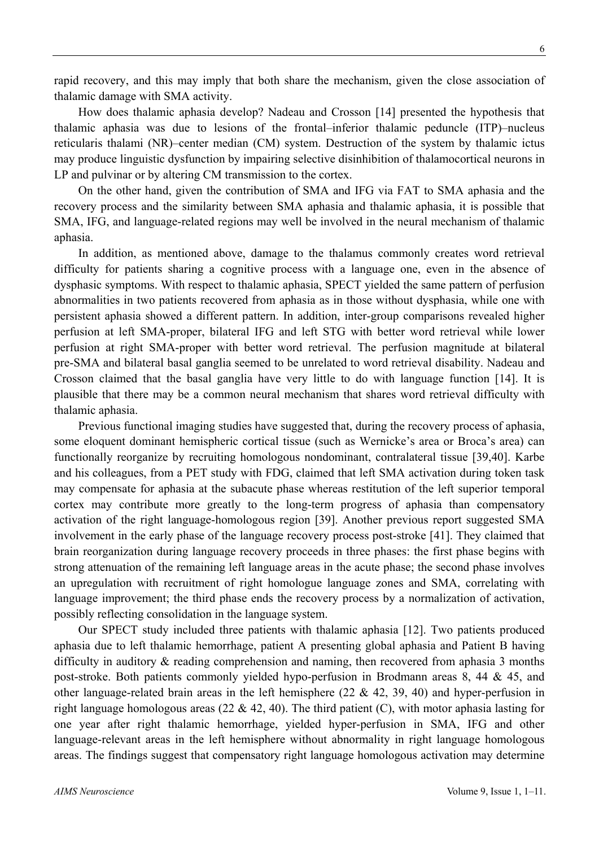6

rapid recovery, and this may imply that both share the mechanism, given the close association of thalamic damage with SMA activity.

How does thalamic aphasia develop? Nadeau and Crosson [14] presented the hypothesis that thalamic aphasia was due to lesions of the frontal–inferior thalamic peduncle (ITP)–nucleus reticularis thalami (NR)–center median (CM) system. Destruction of the system by thalamic ictus may produce linguistic dysfunction by impairing selective disinhibition of thalamocortical neurons in LP and pulvinar or by altering CM transmission to the cortex.

On the other hand, given the contribution of SMA and IFG via FAT to SMA aphasia and the recovery process and the similarity between SMA aphasia and thalamic aphasia, it is possible that SMA, IFG, and language-related regions may well be involved in the neural mechanism of thalamic aphasia.

In addition, as mentioned above, damage to the thalamus commonly creates word retrieval difficulty for patients sharing a cognitive process with a language one, even in the absence of dysphasic symptoms. With respect to thalamic aphasia, SPECT yielded the same pattern of perfusion abnormalities in two patients recovered from aphasia as in those without dysphasia, while one with persistent aphasia showed a different pattern. In addition, inter-group comparisons revealed higher perfusion at left SMA-proper, bilateral IFG and left STG with better word retrieval while lower perfusion at right SMA-proper with better word retrieval. The perfusion magnitude at bilateral pre-SMA and bilateral basal ganglia seemed to be unrelated to word retrieval disability. Nadeau and Crosson claimed that the basal ganglia have very little to do with language function [14]. It is plausible that there may be a common neural mechanism that shares word retrieval difficulty with thalamic aphasia.

Previous functional imaging studies have suggested that, during the recovery process of aphasia, some eloquent dominant hemispheric cortical tissue (such as Wernicke's area or Broca's area) can functionally reorganize by recruiting homologous nondominant, contralateral tissue [39,40]. Karbe and his colleagues, from a PET study with FDG, claimed that left SMA activation during token task may compensate for aphasia at the subacute phase whereas restitution of the left superior temporal cortex may contribute more greatly to the long-term progress of aphasia than compensatory activation of the right language-homologous region [39]. Another previous report suggested SMA involvement in the early phase of the language recovery process post-stroke [41]. They claimed that brain reorganization during language recovery proceeds in three phases: the first phase begins with strong attenuation of the remaining left language areas in the acute phase; the second phase involves an upregulation with recruitment of right homologue language zones and SMA, correlating with language improvement; the third phase ends the recovery process by a normalization of activation, possibly reflecting consolidation in the language system.

Our SPECT study included three patients with thalamic aphasia [12]. Two patients produced aphasia due to left thalamic hemorrhage, patient A presenting global aphasia and Patient B having difficulty in auditory  $\&$  reading comprehension and naming, then recovered from aphasia 3 months post-stroke. Both patients commonly yielded hypo-perfusion in Brodmann areas 8, 44 & 45, and other language-related brain areas in the left hemisphere  $(22 \& 42, 39, 40)$  and hyper-perfusion in right language homologous areas (22  $\&$  42, 40). The third patient (C), with motor aphasia lasting for one year after right thalamic hemorrhage, yielded hyper-perfusion in SMA, IFG and other language-relevant areas in the left hemisphere without abnormality in right language homologous areas. The findings suggest that compensatory right language homologous activation may determine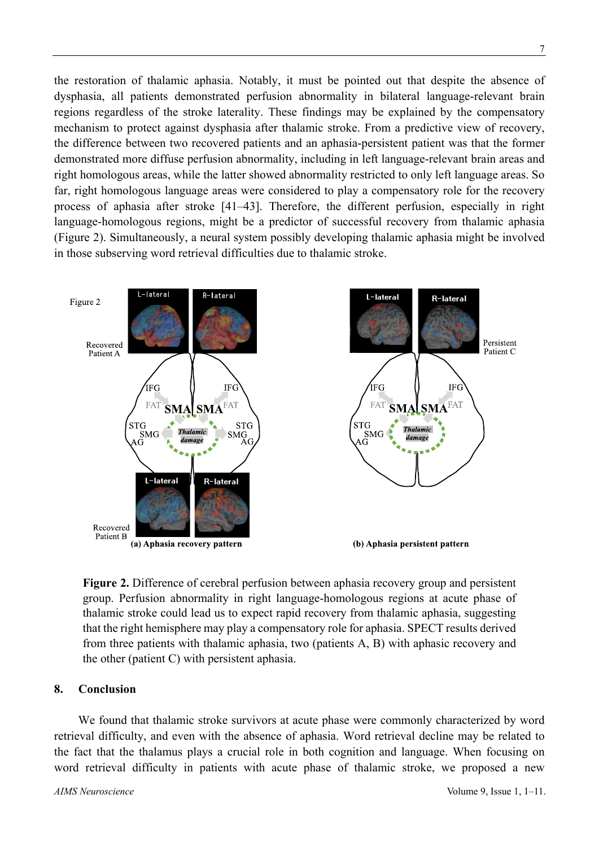the restoration of thalamic aphasia. Notably, it must be pointed out that despite the absence of dysphasia, all patients demonstrated perfusion abnormality in bilateral language-relevant brain regions regardless of the stroke laterality. These findings may be explained by the compensatory mechanism to protect against dysphasia after thalamic stroke. From a predictive view of recovery, the difference between two recovered patients and an aphasia-persistent patient was that the former demonstrated more diffuse perfusion abnormality, including in left language-relevant brain areas and right homologous areas, while the latter showed abnormality restricted to only left language areas. So far, right homologous language areas were considered to play a compensatory role for the recovery process of aphasia after stroke [41–43]. Therefore, the different perfusion, especially in right language-homologous regions, might be a predictor of successful recovery from thalamic aphasia (Figure 2). Simultaneously, a neural system possibly developing thalamic aphasia might be involved in those subserving word retrieval difficulties due to thalamic stroke.



**Figure 2.** Difference of cerebral perfusion between aphasia recovery group and persistent group. Perfusion abnormality in right language-homologous regions at acute phase of thalamic stroke could lead us to expect rapid recovery from thalamic aphasia, suggesting that the right hemisphere may play a compensatory role for aphasia. SPECT results derived from three patients with thalamic aphasia, two (patients A, B) with aphasic recovery and the other (patient C) with persistent aphasia.

### **8. Conclusion**

We found that thalamic stroke survivors at acute phase were commonly characterized by word retrieval difficulty, and even with the absence of aphasia. Word retrieval decline may be related to the fact that the thalamus plays a crucial role in both cognition and language. When focusing on word retrieval difficulty in patients with acute phase of thalamic stroke, we proposed a new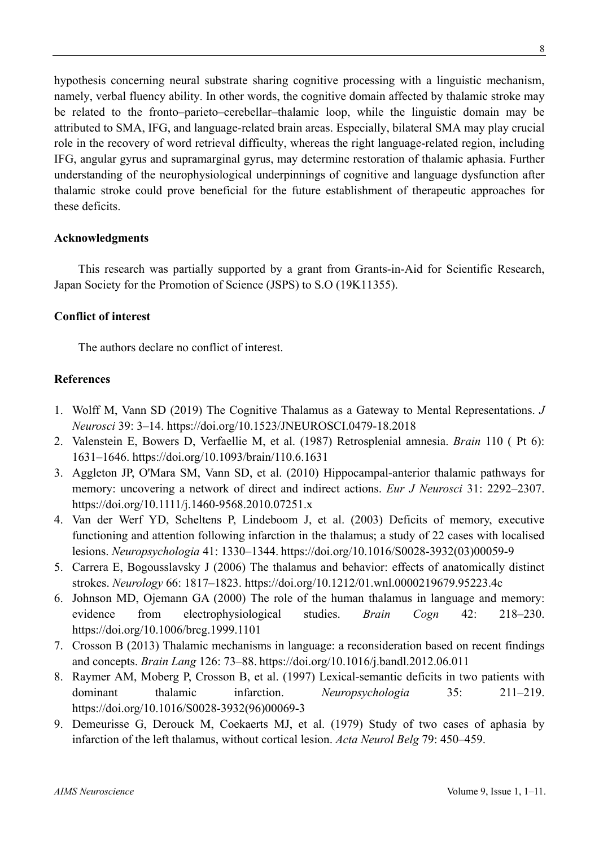hypothesis concerning neural substrate sharing cognitive processing with a linguistic mechanism, namely, verbal fluency ability. In other words, the cognitive domain affected by thalamic stroke may be related to the fronto–parieto–cerebellar–thalamic loop, while the linguistic domain may be attributed to SMA, IFG, and language-related brain areas. Especially, bilateral SMA may play crucial role in the recovery of word retrieval difficulty, whereas the right language-related region, including IFG, angular gyrus and supramarginal gyrus, may determine restoration of thalamic aphasia. Further understanding of the neurophysiological underpinnings of cognitive and language dysfunction after thalamic stroke could prove beneficial for the future establishment of therapeutic approaches for these deficits.

### **Acknowledgments**

This research was partially supported by a grant from Grants-in-Aid for Scientific Research, Japan Society for the Promotion of Science (JSPS) to S.O (19K11355).

### **Conflict of interest**

The authors declare no conflict of interest.

### **References**

- 1. Wolff M, Vann SD (2019) The Cognitive Thalamus as a Gateway to Mental Representations. *J Neurosci* 39: 3–14. https://doi.org/10.1523/JNEUROSCI.0479-18.2018
- 2. Valenstein E, Bowers D, Verfaellie M, et al. (1987) Retrosplenial amnesia. *Brain* 110 ( Pt 6): 1631–1646. https://doi.org/10.1093/brain/110.6.1631
- 3. Aggleton JP, O'Mara SM, Vann SD, et al. (2010) Hippocampal-anterior thalamic pathways for memory: uncovering a network of direct and indirect actions. *Eur J Neurosci* 31: 2292–2307. https://doi.org/10.1111/j.1460-9568.2010.07251.x
- 4. Van der Werf YD, Scheltens P, Lindeboom J, et al. (2003) Deficits of memory, executive functioning and attention following infarction in the thalamus; a study of 22 cases with localised lesions. *Neuropsychologia* 41: 1330–1344. https://doi.org/10.1016/S0028-3932(03)00059-9
- 5. Carrera E, Bogousslavsky J (2006) The thalamus and behavior: effects of anatomically distinct strokes. *Neurology* 66: 1817–1823. https://doi.org/10.1212/01.wnl.0000219679.95223.4c
- 6. Johnson MD, Ojemann GA (2000) The role of the human thalamus in language and memory: evidence from electrophysiological studies. *Brain Cogn* 42: 218–230. https://doi.org/10.1006/brcg.1999.1101
- 7. Crosson B (2013) Thalamic mechanisms in language: a reconsideration based on recent findings and concepts. *Brain Lang* 126: 73–88. https://doi.org/10.1016/j.bandl.2012.06.011
- 8. Raymer AM, Moberg P, Crosson B, et al. (1997) Lexical-semantic deficits in two patients with dominant thalamic infarction. *Neuropsychologia* 35: 211–219. https://doi.org/10.1016/S0028-3932(96)00069-3
- 9. Demeurisse G, Derouck M, Coekaerts MJ, et al. (1979) Study of two cases of aphasia by infarction of the left thalamus, without cortical lesion. *Acta Neurol Belg* 79: 450–459.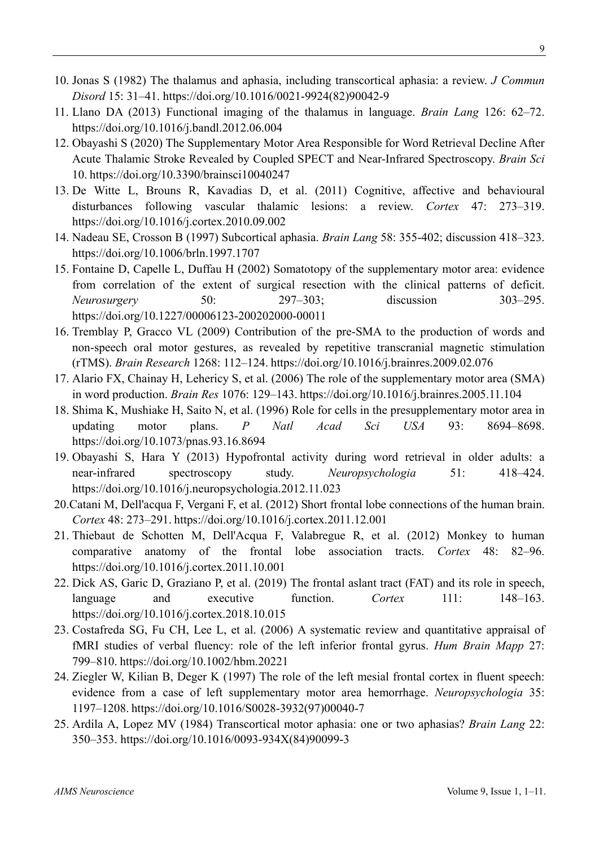- 10. Jonas S (1982) The thalamus and aphasia, including transcortical aphasia: a review. *J Commun Disord* 15: 31–41. https://doi.org/10.1016/0021-9924(82)90042-9
- 11. Llano DA (2013) Functional imaging of the thalamus in language. *Brain Lang* 126: 62–72. https://doi.org/10.1016/j.bandl.2012.06.004
- 12. Obayashi S (2020) The Supplementary Motor Area Responsible for Word Retrieval Decline After Acute Thalamic Stroke Revealed by Coupled SPECT and Near-Infrared Spectroscopy. *Brain Sci* 10. https://doi.org/10.3390/brainsci10040247
- 13. De Witte L, Brouns R, Kavadias D, et al. (2011) Cognitive, affective and behavioural disturbances following vascular thalamic lesions: a review. *Cortex* 47: 273–319. https://doi.org/10.1016/j.cortex.2010.09.002
- 14. Nadeau SE, Crosson B (1997) Subcortical aphasia. *Brain Lang* 58: 355-402; discussion 418–323. https://doi.org/10.1006/brln.1997.1707
- 15. Fontaine D, Capelle L, Duffau H (2002) Somatotopy of the supplementary motor area: evidence from correlation of the extent of surgical resection with the clinical patterns of deficit. *Neurosurgery* 50: 297–303; discussion 303–295. https://doi.org/10.1227/00006123-200202000-00011
- 16. Tremblay P, Gracco VL (2009) Contribution of the pre-SMA to the production of words and non-speech oral motor gestures, as revealed by repetitive transcranial magnetic stimulation (rTMS). *Brain Research* 1268: 112–124. https://doi.org/10.1016/j.brainres.2009.02.076
- 17. Alario FX, Chainay H, Lehericy S, et al. (2006) The role of the supplementary motor area (SMA) in word production. *Brain Res* 1076: 129–143. https://doi.org/10.1016/j.brainres.2005.11.104
- 18. Shima K, Mushiake H, Saito N, et al. (1996) Role for cells in the presupplementary motor area in updating motor plans. *P Natl Acad Sci USA* 93: 8694–8698. https://doi.org/10.1073/pnas.93.16.8694
- 19. Obayashi S, Hara Y (2013) Hypofrontal activity during word retrieval in older adults: a near-infrared spectroscopy study. *Neuropsychologia* 51: 418–424. https://doi.org/10.1016/j.neuropsychologia.2012.11.023
- 20.Catani M, Dell'acqua F, Vergani F, et al. (2012) Short frontal lobe connections of the human brain. *Cortex* 48: 273–291. https://doi.org/10.1016/j.cortex.2011.12.001
- 21. Thiebaut de Schotten M, Dell'Acqua F, Valabregue R, et al. (2012) Monkey to human comparative anatomy of the frontal lobe association tracts. *Cortex* 48: 82–96. https://doi.org/10.1016/j.cortex.2011.10.001
- 22. Dick AS, Garic D, Graziano P, et al. (2019) The frontal aslant tract (FAT) and its role in speech, language and executive function. Cortex 111: 148–163. https://doi.org/10.1016/j.cortex.2018.10.015
- 23. Costafreda SG, Fu CH, Lee L, et al. (2006) A systematic review and quantitative appraisal of fMRI studies of verbal fluency: role of the left inferior frontal gyrus. *Hum Brain Mapp* 27: 799–810. https://doi.org/10.1002/hbm.20221
- 24. Ziegler W, Kilian B, Deger K (1997) The role of the left mesial frontal cortex in fluent speech: evidence from a case of left supplementary motor area hemorrhage. *Neuropsychologia* 35: 1197–1208. https://doi.org/10.1016/S0028-3932(97)00040-7
- 25. Ardila A, Lopez MV (1984) Transcortical motor aphasia: one or two aphasias? *Brain Lang* 22: 350–353. https://doi.org/10.1016/0093-934X(84)90099-3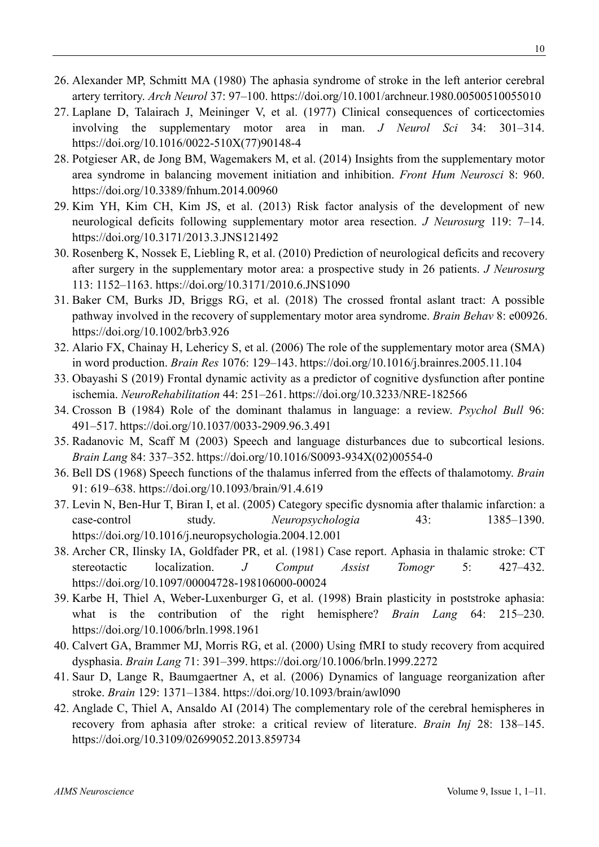- 26. Alexander MP, Schmitt MA (1980) The aphasia syndrome of stroke in the left anterior cerebral artery territory. *Arch Neurol* 37: 97–100. https://doi.org/10.1001/archneur.1980.00500510055010
- 27. Laplane D, Talairach J, Meininger V, et al. (1977) Clinical consequences of corticectomies involving the supplementary motor area in man. *J Neurol Sci* 34: 301–314. https://doi.org/10.1016/0022-510X(77)90148-4
- 28. Potgieser AR, de Jong BM, Wagemakers M, et al. (2014) Insights from the supplementary motor area syndrome in balancing movement initiation and inhibition. *Front Hum Neurosci* 8: 960. https://doi.org/10.3389/fnhum.2014.00960
- 29. Kim YH, Kim CH, Kim JS, et al. (2013) Risk factor analysis of the development of new neurological deficits following supplementary motor area resection. *J Neurosurg* 119: 7–14. https://doi.org/10.3171/2013.3.JNS121492
- 30. Rosenberg K, Nossek E, Liebling R, et al. (2010) Prediction of neurological deficits and recovery after surgery in the supplementary motor area: a prospective study in 26 patients. *J Neurosurg* 113: 1152–1163. https://doi.org/10.3171/2010.6.JNS1090
- 31. Baker CM, Burks JD, Briggs RG, et al. (2018) The crossed frontal aslant tract: A possible pathway involved in the recovery of supplementary motor area syndrome. *Brain Behav* 8: e00926. https://doi.org/10.1002/brb3.926
- 32. Alario FX, Chainay H, Lehericy S, et al. (2006) The role of the supplementary motor area (SMA) in word production. *Brain Res* 1076: 129–143. https://doi.org/10.1016/j.brainres.2005.11.104
- 33. Obayashi S (2019) Frontal dynamic activity as a predictor of cognitive dysfunction after pontine ischemia. *NeuroRehabilitation* 44: 251–261. https://doi.org/10.3233/NRE-182566
- 34. Crosson B (1984) Role of the dominant thalamus in language: a review. *Psychol Bull* 96: 491–517. https://doi.org/10.1037/0033-2909.96.3.491
- 35. Radanovic M, Scaff M (2003) Speech and language disturbances due to subcortical lesions. *Brain Lang* 84: 337–352. https://doi.org/10.1016/S0093-934X(02)00554-0
- 36. Bell DS (1968) Speech functions of the thalamus inferred from the effects of thalamotomy. *Brain* 91: 619–638. https://doi.org/10.1093/brain/91.4.619
- 37. Levin N, Ben-Hur T, Biran I, et al. (2005) Category specific dysnomia after thalamic infarction: a case-control study. *Neuropsychologia* 43: 1385–1390. https://doi.org/10.1016/j.neuropsychologia.2004.12.001
- 38. Archer CR, Ilinsky IA, Goldfader PR, et al. (1981) Case report. Aphasia in thalamic stroke: CT stereotactic localization. *J Comput Assist Tomogr* 5: 427–432. https://doi.org/10.1097/00004728-198106000-00024
- 39. Karbe H, Thiel A, Weber-Luxenburger G, et al. (1998) Brain plasticity in poststroke aphasia: what is the contribution of the right hemisphere? *Brain Lang* 64: 215–230. https://doi.org/10.1006/brln.1998.1961
- 40. Calvert GA, Brammer MJ, Morris RG, et al. (2000) Using fMRI to study recovery from acquired dysphasia. *Brain Lang* 71: 391–399. https://doi.org/10.1006/brln.1999.2272
- 41. Saur D, Lange R, Baumgaertner A, et al. (2006) Dynamics of language reorganization after stroke. *Brain* 129: 1371–1384. https://doi.org/10.1093/brain/awl090
- 42. Anglade C, Thiel A, Ansaldo AI (2014) The complementary role of the cerebral hemispheres in recovery from aphasia after stroke: a critical review of literature. *Brain Inj* 28: 138–145. https://doi.org/10.3109/02699052.2013.859734